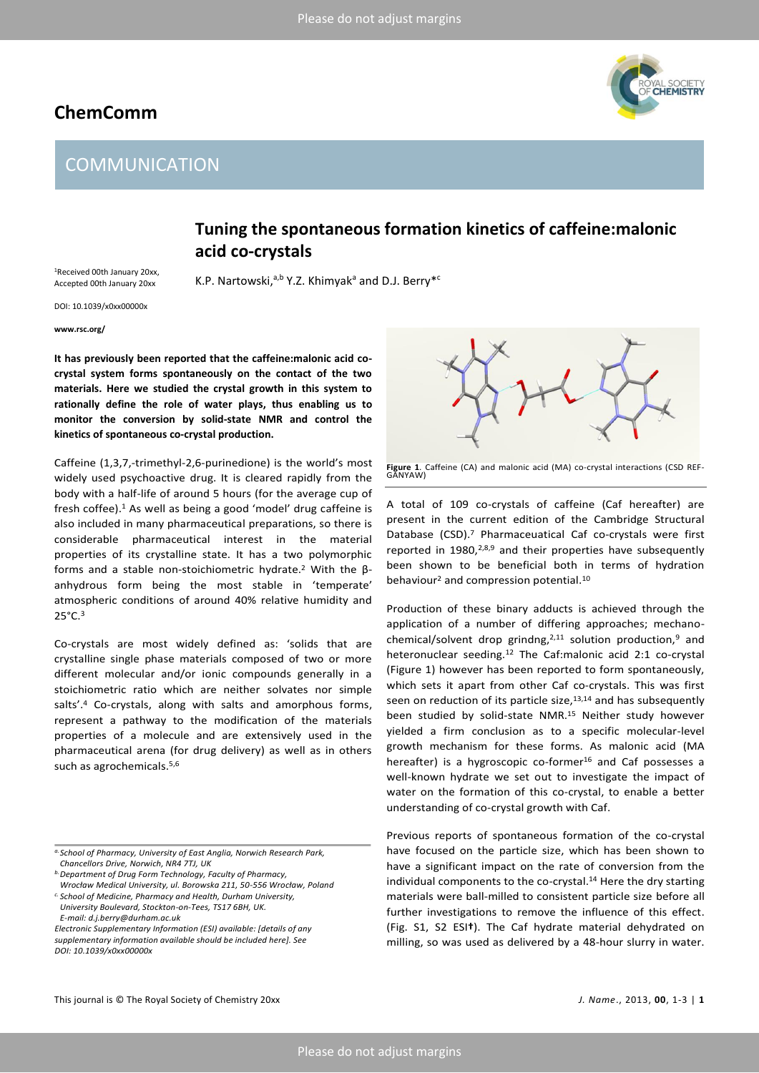# **ChemComm**

# IL SOCIETY<br>**Hemistry**

# **COMMUNICATION**

### **Tuning the spontaneous formation kinetics of caffeine:malonic acid co-crystals**

<sup>1</sup>Received 00th January 20xx, Accepted 00th January 20xx

K.P. Nartowski,<sup>a,b</sup> Y.Z. Khimyak<sup>a</sup> and D.J. Berry<sup>\*</sup>'

DOI: 10.1039/x0xx00000x

**www.rsc.org/**

**It has previously been reported that the caffeine:malonic acid cocrystal system forms spontaneously on the contact of the two materials. Here we studied the crystal growth in this system to rationally define the role of water plays, thus enabling us to monitor the conversion by solid-state NMR and control the kinetics of spontaneous co-crystal production.** 

Caffeine (1,3,7,-trimethyl-2,6-purinedione) is the world's most widely used psychoactive drug. It is cleared rapidly from the body with a half-life of around 5 hours (for the average cup of fresh coffee).<sup>1</sup> As well as being a good 'model' drug caffeine is also included in many pharmaceutical preparations, so there is considerable pharmaceutical interest in the material properties of its crystalline state. It has a two polymorphic forms and a stable non-stoichiometric hydrate. <sup>2</sup> With the βanhydrous form being the most stable in 'temperate' atmospheric conditions of around 40% relative humidity and  $25^{\circ}$ C.<sup>3</sup>

Co-crystals are most widely defined as: 'solids that are crystalline single phase materials composed of two or more different molecular and/or ionic compounds generally in a stoichiometric ratio which are neither solvates nor simple salts'.<sup>4</sup> Co-crystals, along with salts and amorphous forms, represent a pathway to the modification of the materials properties of a molecule and are extensively used in the pharmaceutical arena (for drug delivery) as well as in others such as agrochemicals. 5,6

**Figure 1**. Caffeine (CA) and malonic acid (MA) co-crystal interactions (CSD REF-GANYAW)

A total of 109 co-crystals of caffeine (Caf hereafter) are present in the current edition of the Cambridge Structural Database (CSD). <sup>7</sup> Pharmaceuatical Caf co-crystals were first reported in  $1980,^{2,8,9}$  and their properties have subsequently been shown to be beneficial both in terms of hydration behaviour<sup>2</sup> and compression potential.<sup>10</sup>

Production of these binary adducts is achieved through the application of a number of differing approaches; mechanochemical/solvent drop grindng, $2,11$  solution production,<sup>9</sup> and heteronuclear seeding.<sup>12</sup> The Caf:malonic acid 2:1 co-crystal (Figure 1) however has been reported to form spontaneously, which sets it apart from other Caf co-crystals. This was first seen on reduction of its particle size, $13,14$  and has subsequently been studied by solid-state NMR.<sup>15</sup> Neither study however yielded a firm conclusion as to a specific molecular-level growth mechanism for these forms. As malonic acid (MA hereafter) is a hygroscopic co-former<sup>16</sup> and Caf possesses a well-known hydrate we set out to investigate the impact of water on the formation of this co-crystal, to enable a better understanding of co-crystal growth with Caf.

Previous reports of spontaneous formation of the co-crystal have focused on the particle size, which has been shown to have a significant impact on the rate of conversion from the individual components to the co-crystal.<sup>14</sup> Here the dry starting materials were ball-milled to consistent particle size before all further investigations to remove the influence of this effect. (Fig. S1, S2 ESI**†**). The Caf hydrate material dehydrated on milling, so was used as delivered by a 48-hour slurry in water.

*a.School of Pharmacy, University of East Anglia, Norwich Research Park, Chancellors Drive, Norwich, NR4 7TJ, UK*

*b.Department of Drug Form Technology, Faculty of Pharmacy, Wrocław Medical University, ul. Borowska 211, 50-556 Wrocław, Poland*

*c. School of Medicine, Pharmacy and Health, Durham University, University Boulevard, Stockton-on-Tees, TS17 6BH, UK. E-mail: d.j.berry@durham.ac.uk*

*Electronic Supplementary Information (ESI) available: [details of any supplementary information available should be included here]. See DOI: 10.1039/x0xx00000x*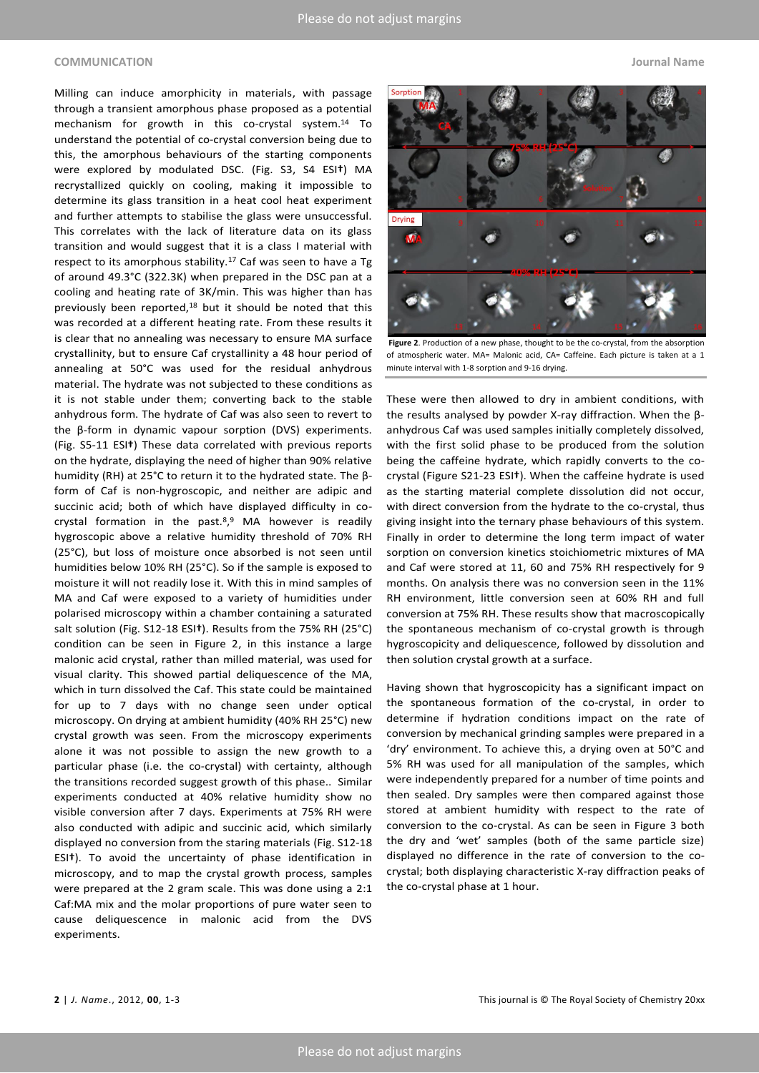### **COMMUNICATION Journal Name**

Milling can induce amorphicity in materials, with passage through a transient amorphous phase proposed as a potential mechanism for growth in this co-crystal system. <sup>14</sup> To understand the potential of co-crystal conversion being due to this, the amorphous behaviours of the starting components were explored by modulated DSC. (Fig. S3, S4 ESI**†**) MA recrystallized quickly on cooling, making it impossible to determine its glass transition in a heat cool heat experiment and further attempts to stabilise the glass were unsuccessful. This correlates with the lack of literature data on its glass transition and would suggest that it is a class I material with respect to its amorphous stability.<sup>17</sup> Caf was seen to have a Tg of around 49.3°C (322.3K) when prepared in the DSC pan at a cooling and heating rate of 3K/min. This was higher than has previously been reported,<sup>18</sup> but it should be noted that this was recorded at a different heating rate. From these results it is clear that no annealing was necessary to ensure MA surface crystallinity, but to ensure Caf crystallinity a 48 hour period of annealing at 50°C was used for the residual anhydrous material. The hydrate was not subjected to these conditions as it is not stable under them; converting back to the stable anhydrous form. The hydrate of Caf was also seen to revert to the β-form in dynamic vapour sorption (DVS) experiments. (Fig. S5-11 ESI**†**) These data correlated with previous reports on the hydrate, displaying the need of higher than 90% relative humidity (RH) at 25°C to return it to the hydrated state. The βform of Caf is non-hygroscopic, and neither are adipic and succinic acid; both of which have displayed difficulty in cocrystal formation in the past.<sup>8</sup>,<sup>9</sup> MA however is readily hygroscopic above a relative humidity threshold of 70% RH (25°C), but loss of moisture once absorbed is not seen until humidities below 10% RH (25°C). So if the sample is exposed to moisture it will not readily lose it. With this in mind samples of MA and Caf were exposed to a variety of humidities under polarised microscopy within a chamber containing a saturated salt solution (Fig. S12-18 ESI**†**). Results from the 75% RH (25°C) condition can be seen in Figure 2, in this instance a large malonic acid crystal, rather than milled material, was used for visual clarity. This showed partial deliquescence of the MA, which in turn dissolved the Caf. This state could be maintained for up to 7 days with no change seen under optical microscopy. On drying at ambient humidity (40% RH 25°C) new crystal growth was seen. From the microscopy experiments alone it was not possible to assign the new growth to a particular phase (i.e. the co-crystal) with certainty, although the transitions recorded suggest growth of this phase.. Similar experiments conducted at 40% relative humidity show no visible conversion after 7 days. Experiments at 75% RH were also conducted with adipic and succinic acid, which similarly displayed no conversion from the staring materials (Fig. S12-18 ESI**†**). To avoid the uncertainty of phase identification in microscopy, and to map the crystal growth process, samples were prepared at the 2 gram scale. This was done using a 2:1 Caf:MA mix and the molar proportions of pure water seen to cause deliquescence in malonic acid from the DVS experiments.



**Figure 2**. Production of a new phase, thought to be the co-crystal, from the absorption of atmospheric water. MA= Malonic acid, CA= Caffeine. Each picture is taken at a 1 minute interval with 1-8 sorption and 9-16 drying.

These were then allowed to dry in ambient conditions, with the results analysed by powder X-ray diffraction. When the βanhydrous Caf was used samples initially completely dissolved, with the first solid phase to be produced from the solution being the caffeine hydrate, which rapidly converts to the cocrystal (Figure S21-23 ESI**†**). When the caffeine hydrate is used as the starting material complete dissolution did not occur, with direct conversion from the hydrate to the co-crystal, thus giving insight into the ternary phase behaviours of this system. Finally in order to determine the long term impact of water sorption on conversion kinetics stoichiometric mixtures of MA and Caf were stored at 11, 60 and 75% RH respectively for 9 months. On analysis there was no conversion seen in the 11% RH environment, little conversion seen at 60% RH and full conversion at 75% RH. These results show that macroscopically the spontaneous mechanism of co-crystal growth is through hygroscopicity and deliquescence, followed by dissolution and then solution crystal growth at a surface.

Having shown that hygroscopicity has a significant impact on the spontaneous formation of the co-crystal, in order to determine if hydration conditions impact on the rate of conversion by mechanical grinding samples were prepared in a 'dry' environment. To achieve this, a drying oven at 50°C and 5% RH was used for all manipulation of the samples, which were independently prepared for a number of time points and then sealed. Dry samples were then compared against those stored at ambient humidity with respect to the rate of conversion to the co-crystal. As can be seen in Figure 3 both the dry and 'wet' samples (both of the same particle size) displayed no difference in the rate of conversion to the cocrystal; both displaying characteristic X-ray diffraction peaks of the co-crystal phase at 1 hour.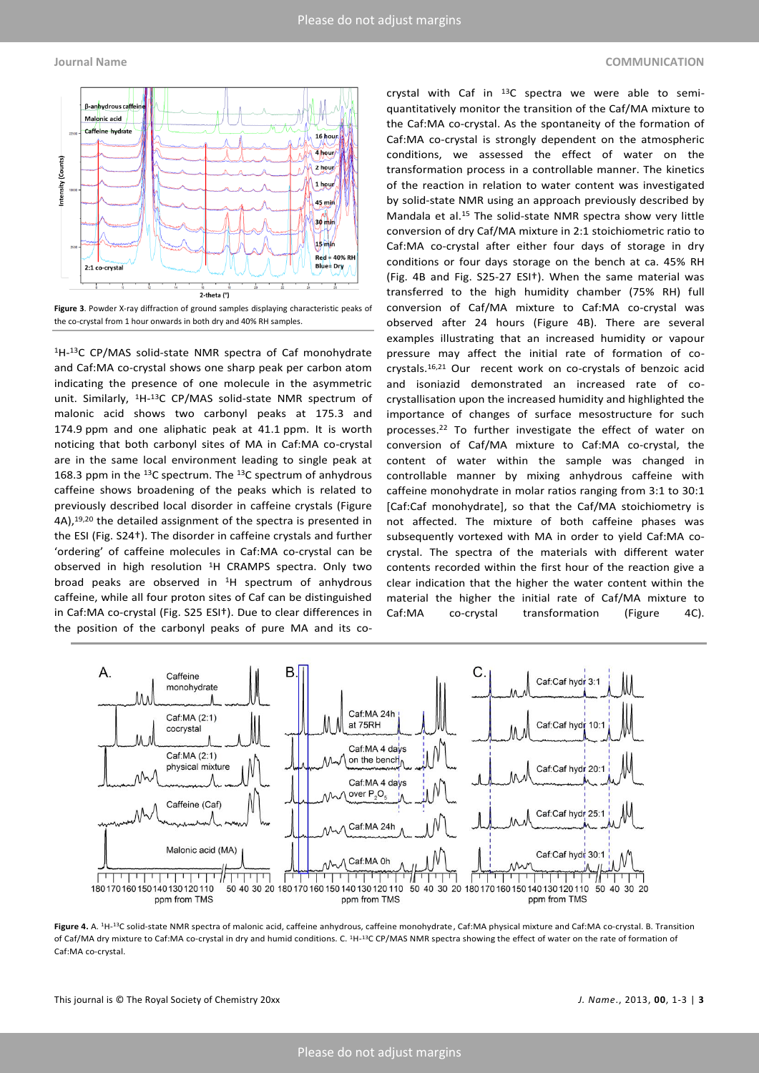

**Figure 3**. Powder X-ray diffraction of ground samples displaying characteristic peaks of the co-crystal from 1 hour onwards in both dry and 40% RH samples.

1H-<sup>13</sup>C CP/MAS solid-state NMR spectra of Caf monohydrate and Caf:MA co-crystal shows one sharp peak per carbon atom indicating the presence of one molecule in the asymmetric unit. Similarly, 1H-<sup>13</sup>C CP/MAS solid-state NMR spectrum of malonic acid shows two carbonyl peaks at 175.3 and 174.9 ppm and one aliphatic peak at 41.1 ppm. It is worth noticing that both carbonyl sites of MA in Caf:MA co-crystal are in the same local environment leading to single peak at 168.3 ppm in the <sup>13</sup>C spectrum. The <sup>13</sup>C spectrum of anhydrous caffeine shows broadening of the peaks which is related to previously described local disorder in caffeine crystals (Figure 4A), 19,20 the detailed assignment of the spectra is presented in the ESI (Fig. S24†). The disorder in caffeine crystals and further 'ordering' of caffeine molecules in Caf:MA co-crystal can be observed in high resolution <sup>1</sup>H CRAMPS spectra. Only two broad peaks are observed in <sup>1</sup>H spectrum of anhydrous caffeine, while all four proton sites of Caf can be distinguished in Caf:MA co-crystal (Fig. S25 ESI†). Due to clear differences in the position of the carbonyl peaks of pure MA and its co-

crystal with Caf in  $^{13}$ C spectra we were able to semiquantitatively monitor the transition of the Caf/MA mixture to the Caf:MA co-crystal. As the spontaneity of the formation of Caf:MA co-crystal is strongly dependent on the atmospheric conditions, we assessed the effect of water on the transformation process in a controllable manner. The kinetics of the reaction in relation to water content was investigated by solid-state NMR using an approach previously described by Mandala et al.<sup>15</sup> The solid-state NMR spectra show very little conversion of dry Caf/MA mixture in 2:1 stoichiometric ratio to Caf:MA co-crystal after either four days of storage in dry conditions or four days storage on the bench at ca. 45% RH (Fig. 4B and Fig. S25-27 ESI†). When the same material was transferred to the high humidity chamber (75% RH) full conversion of Caf/MA mixture to Caf:MA co-crystal was observed after 24 hours (Figure 4B). There are several examples illustrating that an increased humidity or vapour pressure may affect the initial rate of formation of cocrystals.16,21 Our recent work on co-crystals of benzoic acid and isoniazid demonstrated an increased rate of cocrystallisation upon the increased humidity and highlighted the importance of changes of surface mesostructure for such processes. <sup>22</sup> To further investigate the effect of water on conversion of Caf/MA mixture to Caf:MA co-crystal, the content of water within the sample was changed in controllable manner by mixing anhydrous caffeine with caffeine monohydrate in molar ratios ranging from 3:1 to 30:1 [Caf:Caf monohydrate], so that the Caf/MA stoichiometry is not affected. The mixture of both caffeine phases was subsequently vortexed with MA in order to yield Caf:MA cocrystal. The spectra of the materials with different water contents recorded within the first hour of the reaction give a clear indication that the higher the water content within the material the higher the initial rate of Caf/MA mixture to Caf:MA co-crystal transformation (Figure 4C).



**Figure 4.** A. <sup>1</sup>H-<sup>13</sup>C solid-state NMR spectra of malonic acid, caffeine anhydrous, caffeine monohydrate, Caf:MA physical mixture and Caf:MA co-crystal. B. Transition of Caf/MA dry mixture to Caf:MA co-crystal in dry and humid conditions. C. <sup>1</sup>H-<sup>13</sup>C CP/MAS NMR spectra showing the effect of water on the rate of formation of Caf:MA co-crystal.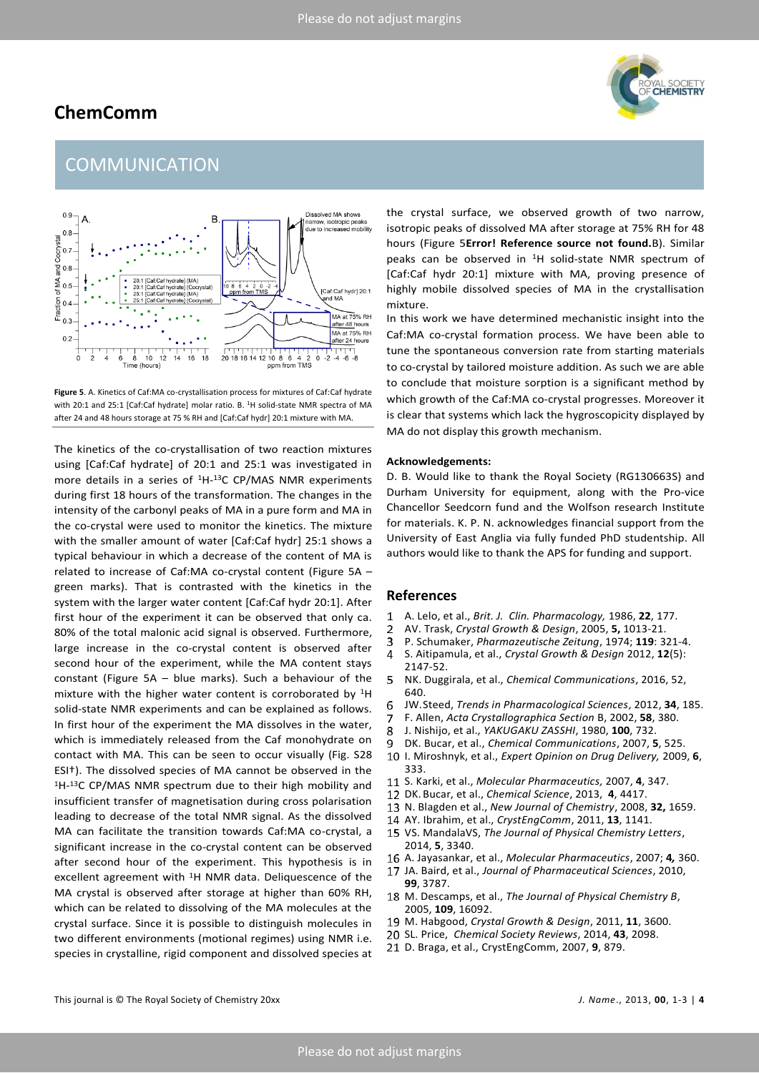### **ChemComm**



# COMMUNICATION



**Figure 5**. A. Kinetics of Caf:MA co-crystallisation process for mixtures of Caf:Caf hydrate with 20:1 and 25:1 [Caf:Caf hydrate] molar ratio. B. <sup>1</sup>H solid-state NMR spectra of MA after 24 and 48 hours storage at 75 % RH and [Caf:Caf hydr] 20:1 mixture with MA.

The kinetics of the co-crystallisation of two reaction mixtures using [Caf:Caf hydrate] of 20:1 and 25:1 was investigated in more details in a series of <sup>1</sup>H-<sup>13</sup>C CP/MAS NMR experiments during first 18 hours of the transformation. The changes in the intensity of the carbonyl peaks of MA in a pure form and MA in the co-crystal were used to monitor the kinetics. The mixture with the smaller amount of water [Caf:Caf hydr] 25:1 shows a typical behaviour in which a decrease of the content of MA is related to increase of Caf:MA co-crystal content (Figure 5A – green marks). That is contrasted with the kinetics in the system with the larger water content [Caf:Caf hydr 20:1]. After first hour of the experiment it can be observed that only ca. 80% of the total malonic acid signal is observed. Furthermore, large increase in the co-crystal content is observed after second hour of the experiment, while the MA content stays constant (Figure 5A – blue marks). Such a behaviour of the mixture with the higher water content is corroborated by <sup>1</sup>H solid-state NMR experiments and can be explained as follows. In first hour of the experiment the MA dissolves in the water, which is immediately released from the Caf monohydrate on contact with MA. This can be seen to occur visually (Fig. S28 ESI†). The dissolved species of MA cannot be observed in the 1H-<sup>13</sup>C CP/MAS NMR spectrum due to their high mobility and insufficient transfer of magnetisation during cross polarisation leading to decrease of the total NMR signal. As the dissolved MA can facilitate the transition towards Caf:MA co-crystal, a significant increase in the co-crystal content can be observed after second hour of the experiment. This hypothesis is in excellent agreement with <sup>1</sup>H NMR data. Deliquescence of the MA crystal is observed after storage at higher than 60% RH, which can be related to dissolving of the MA molecules at the crystal surface. Since it is possible to distinguish molecules in two different environments (motional regimes) using NMR i.e. species in crystalline, rigid component and dissolved species at

the crystal surface, we observed growth of two narrow, isotropic peaks of dissolved MA after storage at 75% RH for 48 hours (Figure 5**Error! Reference source not found.**B). Similar peaks can be observed in <sup>1</sup>H solid-state NMR spectrum of [Caf:Caf hydr 20:1] mixture with MA, proving presence of highly mobile dissolved species of MA in the crystallisation mixture.

In this work we have determined mechanistic insight into the Caf:MA co-crystal formation process. We have been able to tune the spontaneous conversion rate from starting materials to co-crystal by tailored moisture addition. As such we are able to conclude that moisture sorption is a significant method by which growth of the Caf:MA co-crystal progresses. Moreover it is clear that systems which lack the hygroscopicity displayed by MA do not display this growth mechanism.

### **Acknowledgements:**

D. B. Would like to thank the Royal Society (RG130663S) and Durham University for equipment, along with the Pro-vice Chancellor Seedcorn fund and the Wolfson research Institute for materials. K. P. N. acknowledges financial support from the University of East Anglia via fully funded PhD studentship. All authors would like to thank the APS for funding and support.

### **References**

- 1 A. Lelo, et al., *Brit. J. Clin. Pharmacology,* 1986, **22**, 177.
- $\overline{2}$ AV. Trask, *Crystal Growth & Design*, 2005, **5,** 1013-21.
- P. Schumaker, *Pharmazeutische Zeitung*, 1974; **119**: 321-4. 3
- 4 S. Aitipamula, et al., *Crystal Growth & Design* 2012, **12**(5): 2147-52.
- 5 NK. Duggirala, et al., *Chemical Communications*, 2016, 52, 640.
- JW.Steed, *Trends in Pharmacological Sciences*, 2012, **34**, 185. 6
- F. Allen, *Acta Crystallographica Section* B, 2002, **58**, 380.
- 8 J. Nishijo, et al., *YAKUGAKU ZASSHI*, 1980, **100**, 732.
- DK. Bucar, et al., *Chemical Communications*, 2007, **5**, 525.
- I. Miroshnyk, et al., *Expert Opinion on Drug Delivery,* 2009, **6**, 333.
- S. Karki, et al., *Molecular Pharmaceutics,* 2007, **4**, 347.
- DK. Bucar, et al., *Chemical Science*, 2013, **4**, 4417.
- N. Blagden et al., *New Journal of Chemistry*, 2008, **32,** 1659.
- AY. Ibrahim, et al., *CrystEngComm*, 2011, **13**, 1141.
- VS. MandalaVS, *The Journal of Physical Chemistry Letters*, 2014, **5**, 3340.
- A. Jayasankar, et al., *Molecular Pharmaceutics*, 2007; **4***,* 360.
- JA. Baird, et al., *Journal of Pharmaceutical Sciences*, 2010, **99**, 3787.
- M. Descamps, et al., *The Journal of Physical Chemistry B*, 2005, **109**, 16092.
- M. Habgood, *Crystal Growth & Design*, 2011, **11**, 3600.
- SL. Price, *Chemical Society Reviews*, 2014, **43**, 2098.
- D. Braga, et al., CrystEngComm, 2007, **9**, 879.